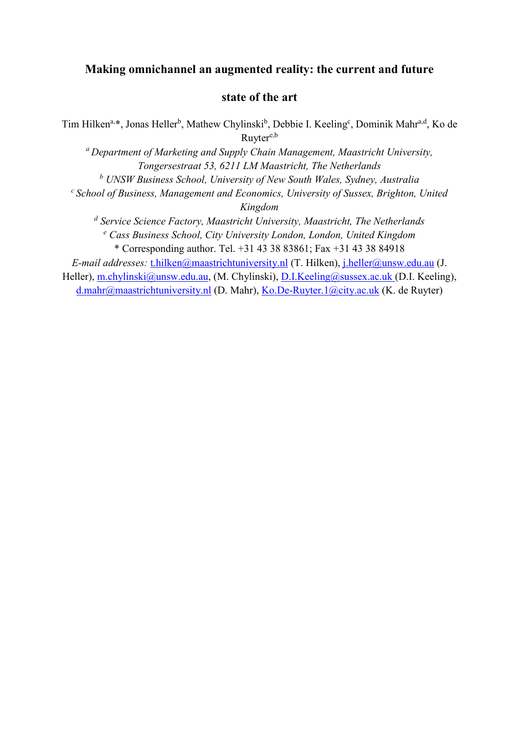# **Making omnichannel an augmented reality: the current and future**

## **state of the art**

Tim Hilken<sup>a,\*</sup>, Jonas Heller<sup>b</sup>, Mathew Chylinski<sup>b</sup>, Debbie I. Keeling<sup>c</sup>, Dominik Mahr<sup>a,d</sup>, Ko de Ruyter<sup>e,b</sup>

*<sup>a</sup>Department of Marketing and Supply Chain Management, Maastricht University, Tongersestraat 53, 6211 LM Maastricht, The Netherlands*

*<sup>b</sup> UNSW Business School, University of New South Wales, Sydney, Australia*

*<sup>c</sup>School of Business, Management and Economics, University of Sussex, Brighton, United* 

*Kingdom*

*d Service Science Factory, Maastricht University, Maastricht, The Netherlands* 

*<sup>e</sup> Cass Business School, City University London, London, United Kingdom* \* Corresponding author. Tel. +31 43 38 83861; Fax +31 43 38 84918

*E-mail addresses:* [t.hilken@maastrichtuniversity.nl](mailto:t.hilken@maastrichtuniversity.nl) (T. Hilken), [j.heller@unsw.edu.au](mailto:j.heller@unsw.edu.au) (J.

Heller), [m.chylinski@unsw.edu.au,](mailto:m.chylinski@unsw.edu.au) (M. Chylinski), [D.I.Keeling@sussex.ac.u](mailto:d.mahr@maastrichtuniversity.nl)k (D.I. Keeling), [d.mahr@maastrichtuniversity.nl](mailto:d.mahr@maastrichtuniversity.nl) (D. Mahr), [Ko.De-Ruyter.1@city.ac.uk](mailto:Ko.De-Ruyter.1@city.ac.uk) (K. de Ruyter)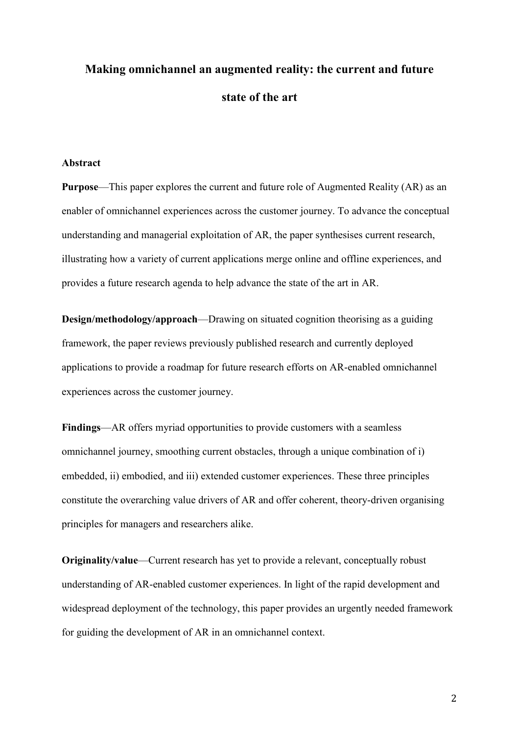# **Making omnichannel an augmented reality: the current and future state of the art**

#### **Abstract**

**Purpose**—This paper explores the current and future role of Augmented Reality (AR) as an enabler of omnichannel experiences across the customer journey. To advance the conceptual understanding and managerial exploitation of AR, the paper synthesises current research, illustrating how a variety of current applications merge online and offline experiences, and provides a future research agenda to help advance the state of the art in AR.

**Design/methodology/approach**—Drawing on situated cognition theorising as a guiding framework, the paper reviews previously published research and currently deployed applications to provide a roadmap for future research efforts on AR-enabled omnichannel experiences across the customer journey.

**Findings**—AR offers myriad opportunities to provide customers with a seamless omnichannel journey, smoothing current obstacles, through a unique combination of i) embedded, ii) embodied, and iii) extended customer experiences. These three principles constitute the overarching value drivers of AR and offer coherent, theory-driven organising principles for managers and researchers alike.

**Originality/value**—Current research has yet to provide a relevant, conceptually robust understanding of AR-enabled customer experiences. In light of the rapid development and widespread deployment of the technology, this paper provides an urgently needed framework for guiding the development of AR in an omnichannel context.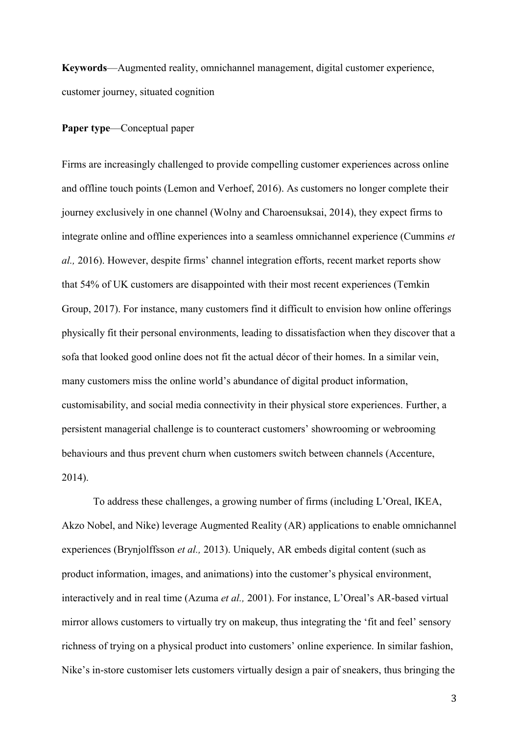**Keywords**—Augmented reality, omnichannel management, digital customer experience, customer journey, situated cognition

#### **Paper type**—Conceptual paper

Firms are increasingly challenged to provide compelling customer experiences across online and offline touch points (Lemon and Verhoef, 2016). As customers no longer complete their journey exclusively in one channel (Wolny and Charoensuksai, 2014), they expect firms to integrate online and offline experiences into a seamless omnichannel experience (Cummins *et al.,* 2016). However, despite firms' channel integration efforts, recent market reports show that 54% of UK customers are disappointed with their most recent experiences (Temkin Group, 2017). For instance, many customers find it difficult to envision how online offerings physically fit their personal environments, leading to dissatisfaction when they discover that a sofa that looked good online does not fit the actual décor of their homes. In a similar vein, many customers miss the online world's abundance of digital product information, customisability, and social media connectivity in their physical store experiences. Further, a persistent managerial challenge is to counteract customers' showrooming or webrooming behaviours and thus prevent churn when customers switch between channels (Accenture, 2014).

To address these challenges, a growing number of firms (including L'Oreal, IKEA, Akzo Nobel, and Nike) leverage Augmented Reality (AR) applications to enable omnichannel experiences (Brynjolffsson *et al.,* 2013). Uniquely, AR embeds digital content (such as product information, images, and animations) into the customer's physical environment, interactively and in real time (Azuma *et al.,* 2001). For instance, L'Oreal's AR-based virtual mirror allows customers to virtually try on makeup, thus integrating the 'fit and feel' sensory richness of trying on a physical product into customers' online experience. In similar fashion, Nike's in-store customiser lets customers virtually design a pair of sneakers, thus bringing the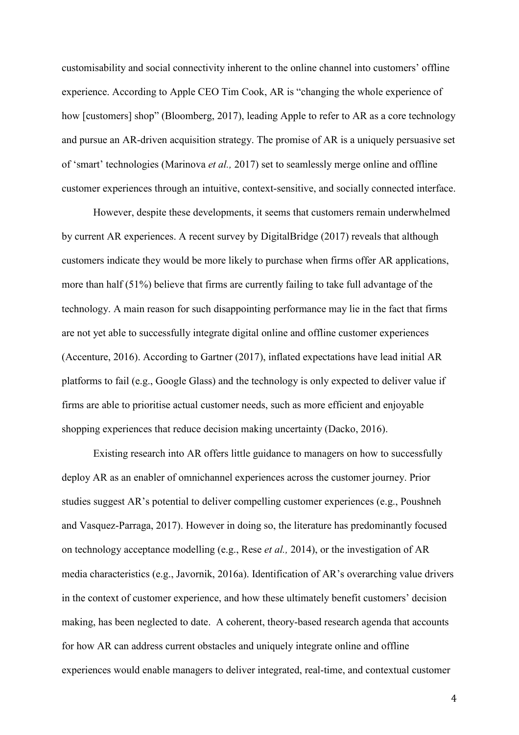customisability and social connectivity inherent to the online channel into customers' offline experience. According to Apple CEO Tim Cook, AR is "changing the whole experience of how [customers] shop" (Bloomberg, 2017), leading Apple to refer to AR as a core technology and pursue an AR-driven acquisition strategy. The promise of AR is a uniquely persuasive set of 'smart' technologies (Marinova *et al.,* 2017) set to seamlessly merge online and offline customer experiences through an intuitive, context-sensitive, and socially connected interface.

However, despite these developments, it seems that customers remain underwhelmed by current AR experiences. A recent survey by DigitalBridge (2017) reveals that although customers indicate they would be more likely to purchase when firms offer AR applications, more than half (51%) believe that firms are currently failing to take full advantage of the technology. A main reason for such disappointing performance may lie in the fact that firms are not yet able to successfully integrate digital online and offline customer experiences (Accenture, 2016). According to Gartner (2017), inflated expectations have lead initial AR platforms to fail (e.g., Google Glass) and the technology is only expected to deliver value if firms are able to prioritise actual customer needs, such as more efficient and enjoyable shopping experiences that reduce decision making uncertainty (Dacko, 2016).

Existing research into AR offers little guidance to managers on how to successfully deploy AR as an enabler of omnichannel experiences across the customer journey. Prior studies suggest AR's potential to deliver compelling customer experiences (e.g., Poushneh and Vasquez-Parraga, 2017). However in doing so, the literature has predominantly focused on technology acceptance modelling (e.g., Rese *et al.,* 2014), or the investigation of AR media characteristics (e.g., Javornik, 2016a). Identification of AR's overarching value drivers in the context of customer experience, and how these ultimately benefit customers' decision making, has been neglected to date. A coherent, theory-based research agenda that accounts for how AR can address current obstacles and uniquely integrate online and offline experiences would enable managers to deliver integrated, real-time, and contextual customer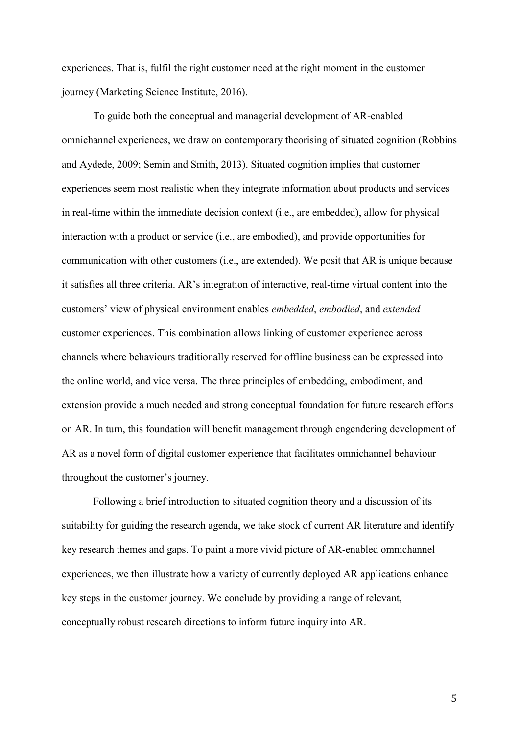experiences. That is, fulfil the right customer need at the right moment in the customer journey (Marketing Science Institute, 2016).

To guide both the conceptual and managerial development of AR-enabled omnichannel experiences, we draw on contemporary theorising of situated cognition (Robbins and Aydede, 2009; Semin and Smith, 2013). Situated cognition implies that customer experiences seem most realistic when they integrate information about products and services in real-time within the immediate decision context (i.e., are embedded), allow for physical interaction with a product or service (i.e., are embodied), and provide opportunities for communication with other customers (i.e., are extended). We posit that AR is unique because it satisfies all three criteria. AR's integration of interactive, real-time virtual content into the customers' view of physical environment enables *embedded*, *embodied*, and *extended* customer experiences. This combination allows linking of customer experience across channels where behaviours traditionally reserved for offline business can be expressed into the online world, and vice versa. The three principles of embedding, embodiment, and extension provide a much needed and strong conceptual foundation for future research efforts on AR. In turn, this foundation will benefit management through engendering development of AR as a novel form of digital customer experience that facilitates omnichannel behaviour throughout the customer's journey.

Following a brief introduction to situated cognition theory and a discussion of its suitability for guiding the research agenda, we take stock of current AR literature and identify key research themes and gaps. To paint a more vivid picture of AR-enabled omnichannel experiences, we then illustrate how a variety of currently deployed AR applications enhance key steps in the customer journey. We conclude by providing a range of relevant, conceptually robust research directions to inform future inquiry into AR.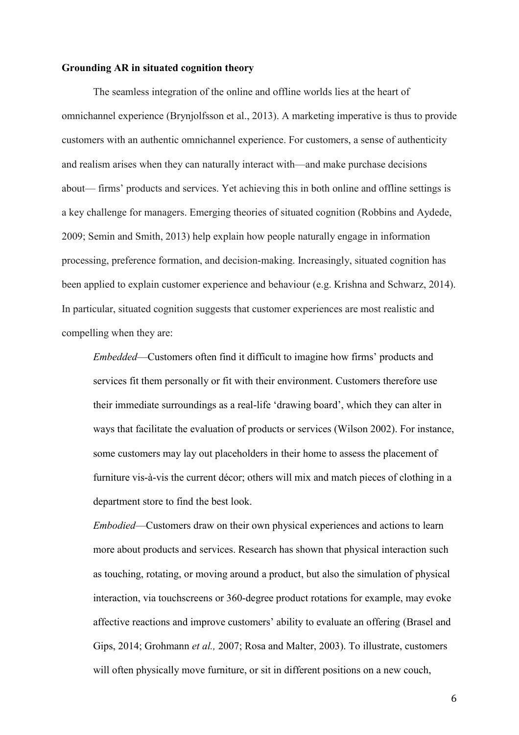#### **Grounding AR in situated cognition theory**

The seamless integration of the online and offline worlds lies at the heart of omnichannel experience (Brynjolfsson et al., 2013). A marketing imperative is thus to provide customers with an authentic omnichannel experience. For customers, a sense of authenticity and realism arises when they can naturally interact with—and make purchase decisions about— firms' products and services. Yet achieving this in both online and offline settings is a key challenge for managers. Emerging theories of situated cognition (Robbins and Aydede, 2009; Semin and Smith, 2013) help explain how people naturally engage in information processing, preference formation, and decision-making. Increasingly, situated cognition has been applied to explain customer experience and behaviour (e.g. Krishna and Schwarz, 2014). In particular, situated cognition suggests that customer experiences are most realistic and compelling when they are:

*Embedded*—Customers often find it difficult to imagine how firms' products and services fit them personally or fit with their environment. Customers therefore use their immediate surroundings as a real-life 'drawing board', which they can alter in ways that facilitate the evaluation of products or services (Wilson 2002). For instance, some customers may lay out placeholders in their home to assess the placement of furniture vis-à-vis the current décor; others will mix and match pieces of clothing in a department store to find the best look.

*Embodied*—Customers draw on their own physical experiences and actions to learn more about products and services. Research has shown that physical interaction such as touching, rotating, or moving around a product, but also the simulation of physical interaction, via touchscreens or 360-degree product rotations for example, may evoke affective reactions and improve customers' ability to evaluate an offering (Brasel and Gips, 2014; Grohmann *et al.,* 2007; Rosa and Malter, 2003). To illustrate, customers will often physically move furniture, or sit in different positions on a new couch,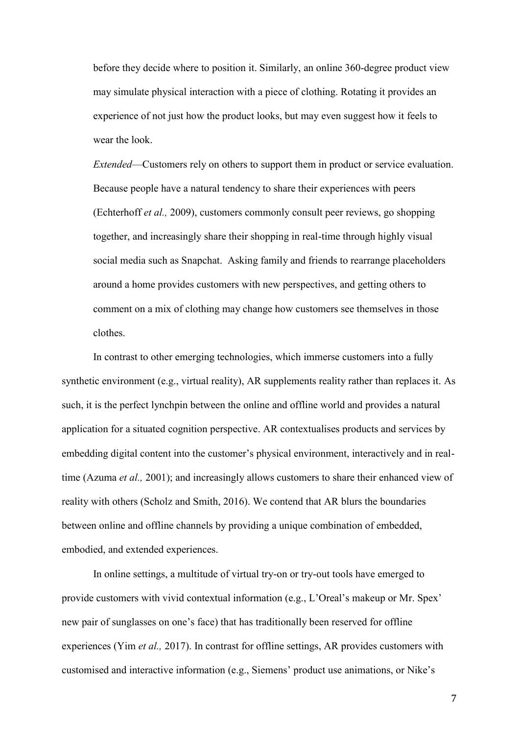before they decide where to position it. Similarly, an online 360-degree product view may simulate physical interaction with a piece of clothing. Rotating it provides an experience of not just how the product looks, but may even suggest how it feels to wear the look.

*Extended*—Customers rely on others to support them in product or service evaluation. Because people have a natural tendency to share their experiences with peers (Echterhoff *et al.,* 2009), customers commonly consult peer reviews, go shopping together, and increasingly share their shopping in real-time through highly visual social media such as Snapchat. Asking family and friends to rearrange placeholders around a home provides customers with new perspectives, and getting others to comment on a mix of clothing may change how customers see themselves in those clothes.

In contrast to other emerging technologies, which immerse customers into a fully synthetic environment (e.g., virtual reality), AR supplements reality rather than replaces it. As such, it is the perfect lynchpin between the online and offline world and provides a natural application for a situated cognition perspective. AR contextualises products and services by embedding digital content into the customer's physical environment, interactively and in realtime (Azuma *et al.,* 2001); and increasingly allows customers to share their enhanced view of reality with others (Scholz and Smith, 2016). We contend that AR blurs the boundaries between online and offline channels by providing a unique combination of embedded, embodied, and extended experiences.

In online settings, a multitude of virtual try-on or try-out tools have emerged to provide customers with vivid contextual information (e.g., L'Oreal's makeup or Mr. Spex' new pair of sunglasses on one's face) that has traditionally been reserved for offline experiences (Yim *et al.,* 2017). In contrast for offline settings, AR provides customers with customised and interactive information (e.g., Siemens' product use animations, or Nike's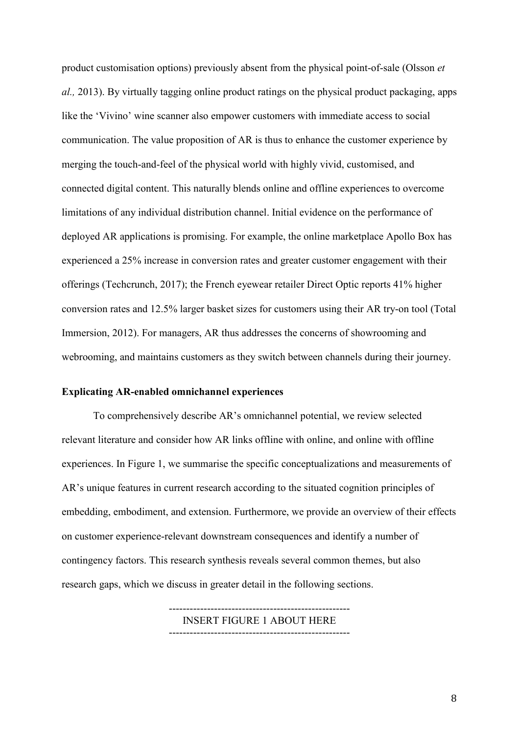product customisation options) previously absent from the physical point-of-sale (Olsson *et al.,* 2013). By virtually tagging online product ratings on the physical product packaging, apps like the 'Vivino' wine scanner also empower customers with immediate access to social communication. The value proposition of AR is thus to enhance the customer experience by merging the touch-and-feel of the physical world with highly vivid, customised, and connected digital content. This naturally blends online and offline experiences to overcome limitations of any individual distribution channel. Initial evidence on the performance of deployed AR applications is promising. For example, the online marketplace Apollo Box has experienced a 25% increase in conversion rates and greater customer engagement with their offerings (Techcrunch, 2017); the French eyewear retailer Direct Optic reports 41% higher conversion rates and 12.5% larger basket sizes for customers using their AR try-on tool (Total Immersion, 2012). For managers, AR thus addresses the concerns of showrooming and webrooming, and maintains customers as they switch between channels during their journey.

#### **Explicating AR-enabled omnichannel experiences**

To comprehensively describe AR's omnichannel potential, we review selected relevant literature and consider how AR links offline with online, and online with offline experiences. In Figure 1, we summarise the specific conceptualizations and measurements of AR's unique features in current research according to the situated cognition principles of embedding, embodiment, and extension. Furthermore, we provide an overview of their effects on customer experience-relevant downstream consequences and identify a number of contingency factors. This research synthesis reveals several common themes, but also research gaps, which we discuss in greater detail in the following sections.

> ---------------------------------------------------- INSERT FIGURE 1 ABOUT HERE ----------------------------------------------------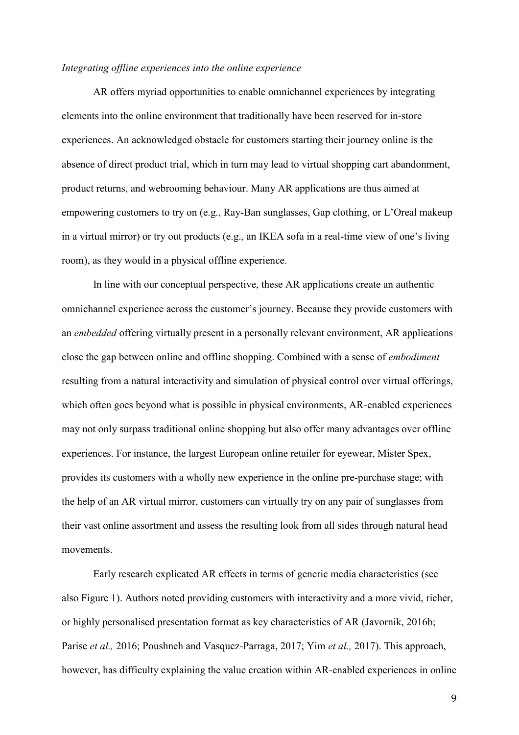#### *Integrating offline experiences into the online experience*

AR offers myriad opportunities to enable omnichannel experiences by integrating elements into the online environment that traditionally have been reserved for in-store experiences. An acknowledged obstacle for customers starting their journey online is the absence of direct product trial, which in turn may lead to virtual shopping cart abandonment, product returns, and webrooming behaviour. Many AR applications are thus aimed at empowering customers to try on (e.g., Ray-Ban sunglasses, Gap clothing, or L'Oreal makeup in a virtual mirror) or try out products (e.g., an IKEA sofa in a real-time view of one's living room), as they would in a physical offline experience.

In line with our conceptual perspective, these AR applications create an authentic omnichannel experience across the customer's journey. Because they provide customers with an *embedded* offering virtually present in a personally relevant environment, AR applications close the gap between online and offline shopping. Combined with a sense of *embodiment* resulting from a natural interactivity and simulation of physical control over virtual offerings, which often goes beyond what is possible in physical environments, AR-enabled experiences may not only surpass traditional online shopping but also offer many advantages over offline experiences. For instance, the largest European online retailer for eyewear, Mister Spex, provides its customers with a wholly new experience in the online pre-purchase stage; with the help of an AR virtual mirror, customers can virtually try on any pair of sunglasses from their vast online assortment and assess the resulting look from all sides through natural head movements.

Early research explicated AR effects in terms of generic media characteristics (see also Figure 1). Authors noted providing customers with interactivity and a more vivid, richer, or highly personalised presentation format as key characteristics of AR (Javornik, 2016b; Parise *et al.,* 2016; Poushneh and Vasquez-Parraga, 2017; Yim *et al.,* 2017). This approach, however, has difficulty explaining the value creation within AR-enabled experiences in online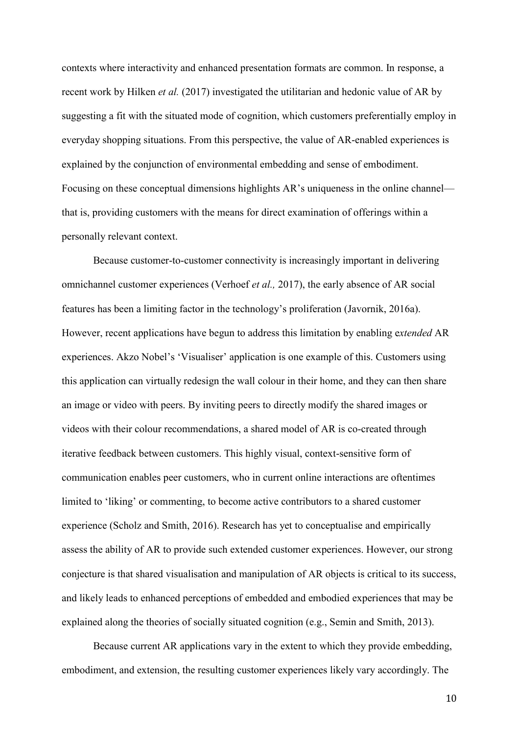contexts where interactivity and enhanced presentation formats are common. In response, a recent work by Hilken *et al.* (2017) investigated the utilitarian and hedonic value of AR by suggesting a fit with the situated mode of cognition, which customers preferentially employ in everyday shopping situations. From this perspective, the value of AR-enabled experiences is explained by the conjunction of environmental embedding and sense of embodiment. Focusing on these conceptual dimensions highlights AR's uniqueness in the online channel that is, providing customers with the means for direct examination of offerings within a personally relevant context.

Because customer-to-customer connectivity is increasingly important in delivering omnichannel customer experiences (Verhoef *et al.,* 2017), the early absence of AR social features has been a limiting factor in the technology's proliferation (Javornik, 2016a). However, recent applications have begun to address this limitation by enabling e*xtended* AR experiences. Akzo Nobel's 'Visualiser' application is one example of this. Customers using this application can virtually redesign the wall colour in their home, and they can then share an image or video with peers. By inviting peers to directly modify the shared images or videos with their colour recommendations, a shared model of AR is co-created through iterative feedback between customers. This highly visual, context-sensitive form of communication enables peer customers, who in current online interactions are oftentimes limited to 'liking' or commenting, to become active contributors to a shared customer experience (Scholz and Smith, 2016). Research has yet to conceptualise and empirically assess the ability of AR to provide such extended customer experiences. However, our strong conjecture is that shared visualisation and manipulation of AR objects is critical to its success, and likely leads to enhanced perceptions of embedded and embodied experiences that may be explained along the theories of socially situated cognition (e.g., Semin and Smith, 2013).

Because current AR applications vary in the extent to which they provide embedding, embodiment, and extension, the resulting customer experiences likely vary accordingly. The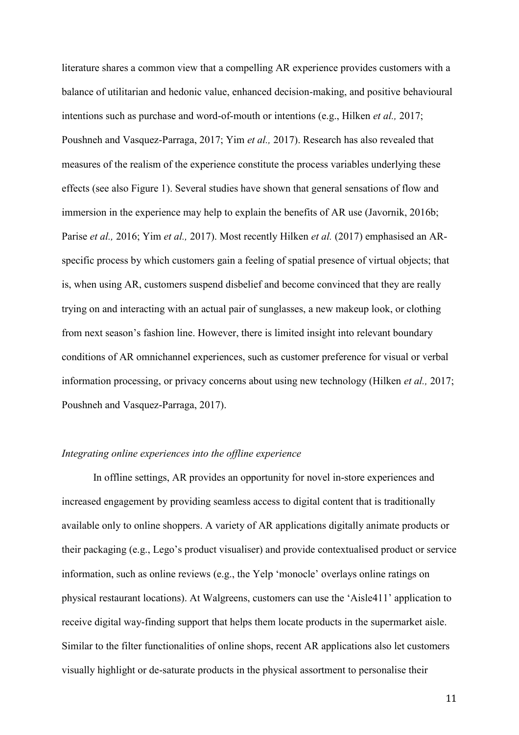literature shares a common view that a compelling AR experience provides customers with a balance of utilitarian and hedonic value, enhanced decision-making, and positive behavioural intentions such as purchase and word-of-mouth or intentions (e.g., Hilken *et al.,* 2017; Poushneh and Vasquez-Parraga, 2017; Yim *et al.,* 2017). Research has also revealed that measures of the realism of the experience constitute the process variables underlying these effects (see also Figure 1). Several studies have shown that general sensations of flow and immersion in the experience may help to explain the benefits of AR use (Javornik, 2016b; Parise *et al.,* 2016; Yim *et al.,* 2017). Most recently Hilken *et al.* (2017) emphasised an ARspecific process by which customers gain a feeling of spatial presence of virtual objects; that is, when using AR, customers suspend disbelief and become convinced that they are really trying on and interacting with an actual pair of sunglasses, a new makeup look, or clothing from next season's fashion line. However, there is limited insight into relevant boundary conditions of AR omnichannel experiences, such as customer preference for visual or verbal information processing, or privacy concerns about using new technology (Hilken *et al.,* 2017; Poushneh and Vasquez-Parraga, 2017).

#### *Integrating online experiences into the offline experience*

In offline settings, AR provides an opportunity for novel in-store experiences and increased engagement by providing seamless access to digital content that is traditionally available only to online shoppers. A variety of AR applications digitally animate products or their packaging (e.g., Lego's product visualiser) and provide contextualised product or service information, such as online reviews (e.g., the Yelp 'monocle' overlays online ratings on physical restaurant locations). At Walgreens, customers can use the 'Aisle411' application to receive digital way-finding support that helps them locate products in the supermarket aisle. Similar to the filter functionalities of online shops, recent AR applications also let customers visually highlight or de-saturate products in the physical assortment to personalise their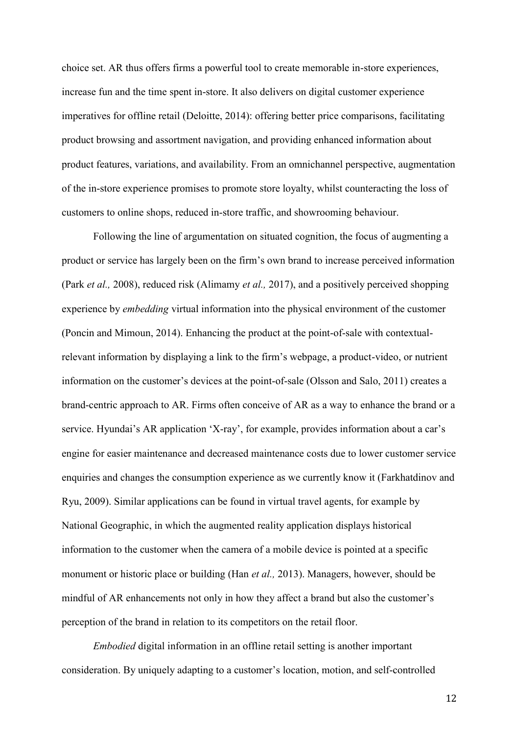choice set. AR thus offers firms a powerful tool to create memorable in-store experiences, increase fun and the time spent in-store. It also delivers on digital customer experience imperatives for offline retail (Deloitte, 2014): offering better price comparisons, facilitating product browsing and assortment navigation, and providing enhanced information about product features, variations, and availability. From an omnichannel perspective, augmentation of the in-store experience promises to promote store loyalty, whilst counteracting the loss of customers to online shops, reduced in-store traffic, and showrooming behaviour.

Following the line of argumentation on situated cognition, the focus of augmenting a product or service has largely been on the firm's own brand to increase perceived information (Park *et al.,* 2008), reduced risk (Alimamy *et al.,* 2017), and a positively perceived shopping experience by *embedding* virtual information into the physical environment of the customer (Poncin and Mimoun, 2014). Enhancing the product at the point-of-sale with contextualrelevant information by displaying a link to the firm's webpage, a product-video, or nutrient information on the customer's devices at the point-of-sale (Olsson and Salo, 2011) creates a brand-centric approach to AR. Firms often conceive of AR as a way to enhance the brand or a service. Hyundai's AR application 'X-ray', for example, provides information about a car's engine for easier maintenance and decreased maintenance costs due to lower customer service enquiries and changes the consumption experience as we currently know it (Farkhatdinov and Ryu, 2009). Similar applications can be found in virtual travel agents, for example by National Geographic, in which the augmented reality application displays historical information to the customer when the camera of a mobile device is pointed at a specific monument or historic place or building (Han *et al.,* 2013). Managers, however, should be mindful of AR enhancements not only in how they affect a brand but also the customer's perception of the brand in relation to its competitors on the retail floor.

*Embodied* digital information in an offline retail setting is another important consideration. By uniquely adapting to a customer's location, motion, and self-controlled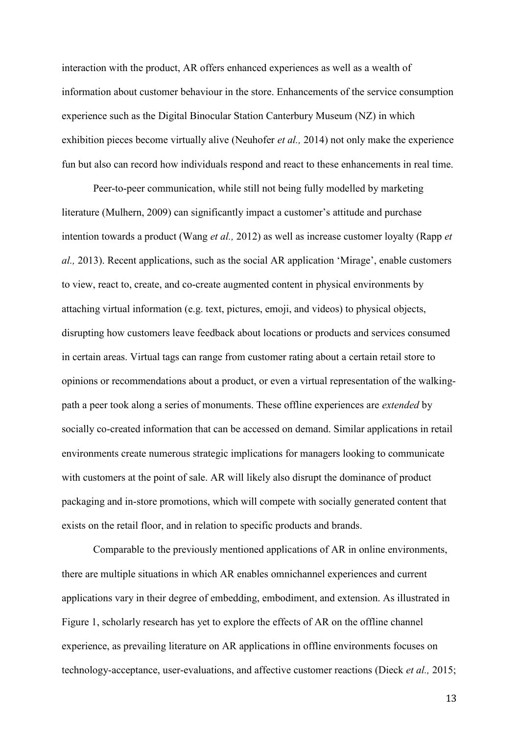interaction with the product, AR offers enhanced experiences as well as a wealth of information about customer behaviour in the store. Enhancements of the service consumption experience such as the Digital Binocular Station Canterbury Museum (NZ) in which exhibition pieces become virtually alive (Neuhofer *et al.,* 2014) not only make the experience fun but also can record how individuals respond and react to these enhancements in real time.

Peer-to-peer communication, while still not being fully modelled by marketing literature (Mulhern, 2009) can significantly impact a customer's attitude and purchase intention towards a product (Wang *et al.,* 2012) as well as increase customer loyalty (Rapp *et al.,* 2013). Recent applications, such as the social AR application 'Mirage', enable customers to view, react to, create, and co-create augmented content in physical environments by attaching virtual information (e.g. text, pictures, emoji, and videos) to physical objects, disrupting how customers leave feedback about locations or products and services consumed in certain areas. Virtual tags can range from customer rating about a certain retail store to opinions or recommendations about a product, or even a virtual representation of the walkingpath a peer took along a series of monuments. These offline experiences are *extended* by socially co-created information that can be accessed on demand. Similar applications in retail environments create numerous strategic implications for managers looking to communicate with customers at the point of sale. AR will likely also disrupt the dominance of product packaging and in-store promotions, which will compete with socially generated content that exists on the retail floor, and in relation to specific products and brands.

Comparable to the previously mentioned applications of AR in online environments, there are multiple situations in which AR enables omnichannel experiences and current applications vary in their degree of embedding, embodiment, and extension. As illustrated in Figure 1, scholarly research has yet to explore the effects of AR on the offline channel experience, as prevailing literature on AR applications in offline environments focuses on technology-acceptance, user-evaluations, and affective customer reactions (Dieck *et al.,* 2015;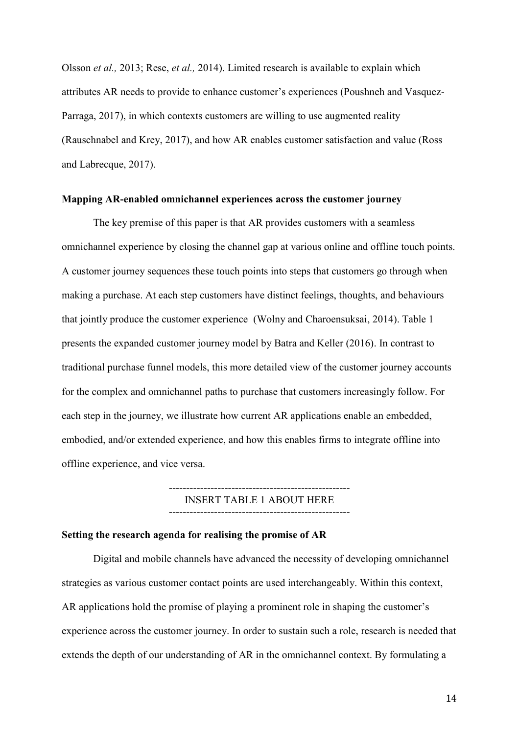Olsson *et al.,* 2013; Rese, *et al.,* 2014). Limited research is available to explain which attributes AR needs to provide to enhance customer's experiences (Poushneh and Vasquez-Parraga, 2017), in which contexts customers are willing to use augmented reality (Rauschnabel and Krey, 2017), and how AR enables customer satisfaction and value (Ross and Labrecque, 2017).

#### **Mapping AR-enabled omnichannel experiences across the customer journey**

The key premise of this paper is that AR provides customers with a seamless omnichannel experience by closing the channel gap at various online and offline touch points. A customer journey sequences these touch points into steps that customers go through when making a purchase. At each step customers have distinct feelings, thoughts, and behaviours that jointly produce the customer experience (Wolny and Charoensuksai, 2014). Table 1 presents the expanded customer journey model by Batra and Keller (2016). In contrast to traditional purchase funnel models, this more detailed view of the customer journey accounts for the complex and omnichannel paths to purchase that customers increasingly follow. For each step in the journey, we illustrate how current AR applications enable an embedded, embodied, and/or extended experience, and how this enables firms to integrate offline into offline experience, and vice versa.

> ---------------------------------------------------- INSERT TABLE 1 ABOUT HERE

## ----------------------------------------------------

#### **Setting the research agenda for realising the promise of AR**

Digital and mobile channels have advanced the necessity of developing omnichannel strategies as various customer contact points are used interchangeably. Within this context, AR applications hold the promise of playing a prominent role in shaping the customer's experience across the customer journey. In order to sustain such a role, research is needed that extends the depth of our understanding of AR in the omnichannel context. By formulating a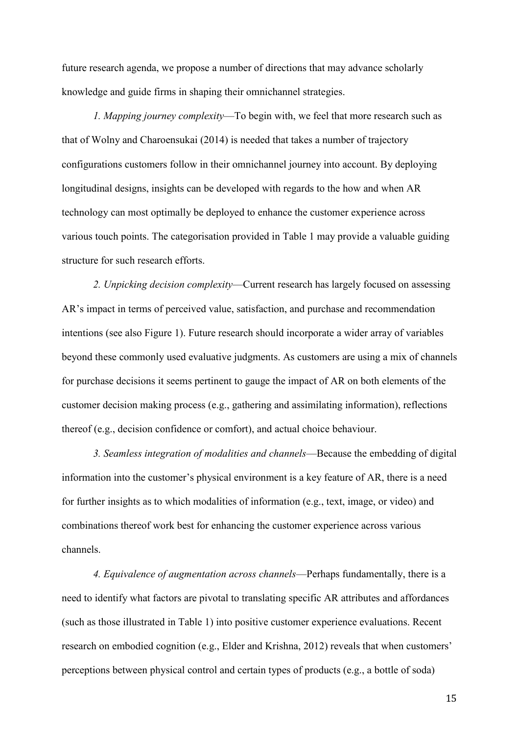future research agenda, we propose a number of directions that may advance scholarly knowledge and guide firms in shaping their omnichannel strategies.

*1. Mapping journey complexity*—To begin with, we feel that more research such as that of Wolny and Charoensukai (2014) is needed that takes a number of trajectory configurations customers follow in their omnichannel journey into account. By deploying longitudinal designs, insights can be developed with regards to the how and when AR technology can most optimally be deployed to enhance the customer experience across various touch points. The categorisation provided in Table 1 may provide a valuable guiding structure for such research efforts.

*2. Unpicking decision complexity*—Current research has largely focused on assessing AR's impact in terms of perceived value, satisfaction, and purchase and recommendation intentions (see also Figure 1). Future research should incorporate a wider array of variables beyond these commonly used evaluative judgments. As customers are using a mix of channels for purchase decisions it seems pertinent to gauge the impact of AR on both elements of the customer decision making process (e.g., gathering and assimilating information), reflections thereof (e.g., decision confidence or comfort), and actual choice behaviour.

*3. Seamless integration of modalities and channels*—Because the embedding of digital information into the customer's physical environment is a key feature of AR, there is a need for further insights as to which modalities of information (e.g., text, image, or video) and combinations thereof work best for enhancing the customer experience across various channels.

*4. Equivalence of augmentation across channels*—Perhaps fundamentally, there is a need to identify what factors are pivotal to translating specific AR attributes and affordances (such as those illustrated in Table 1) into positive customer experience evaluations. Recent research on embodied cognition (e.g., Elder and Krishna, 2012) reveals that when customers' perceptions between physical control and certain types of products (e.g., a bottle of soda)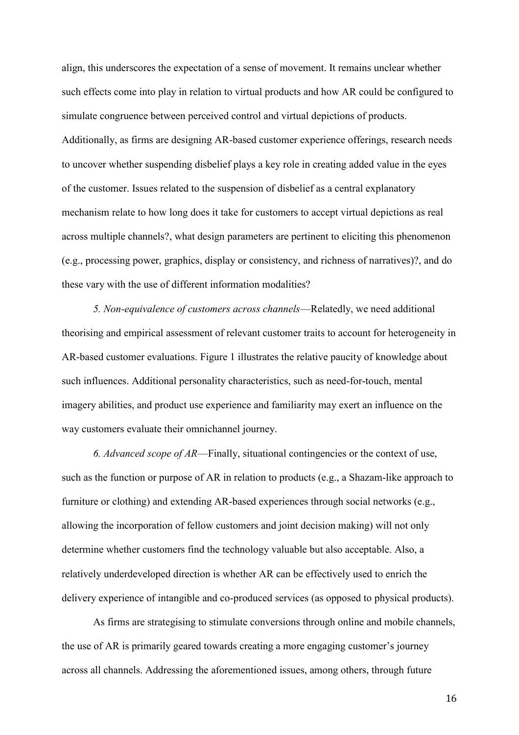align, this underscores the expectation of a sense of movement. It remains unclear whether such effects come into play in relation to virtual products and how AR could be configured to simulate congruence between perceived control and virtual depictions of products. Additionally, as firms are designing AR-based customer experience offerings, research needs to uncover whether suspending disbelief plays a key role in creating added value in the eyes of the customer. Issues related to the suspension of disbelief as a central explanatory mechanism relate to how long does it take for customers to accept virtual depictions as real across multiple channels?, what design parameters are pertinent to eliciting this phenomenon (e.g., processing power, graphics, display or consistency, and richness of narratives)?, and do these vary with the use of different information modalities?

*5. Non-equivalence of customers across channels*—Relatedly, we need additional theorising and empirical assessment of relevant customer traits to account for heterogeneity in AR-based customer evaluations. Figure 1 illustrates the relative paucity of knowledge about such influences. Additional personality characteristics, such as need-for-touch, mental imagery abilities, and product use experience and familiarity may exert an influence on the way customers evaluate their omnichannel journey.

*6. Advanced scope of AR*—Finally, situational contingencies or the context of use, such as the function or purpose of AR in relation to products (e.g., a Shazam-like approach to furniture or clothing) and extending AR-based experiences through social networks (e.g., allowing the incorporation of fellow customers and joint decision making) will not only determine whether customers find the technology valuable but also acceptable. Also, a relatively underdeveloped direction is whether AR can be effectively used to enrich the delivery experience of intangible and co-produced services (as opposed to physical products).

As firms are strategising to stimulate conversions through online and mobile channels, the use of AR is primarily geared towards creating a more engaging customer's journey across all channels. Addressing the aforementioned issues, among others, through future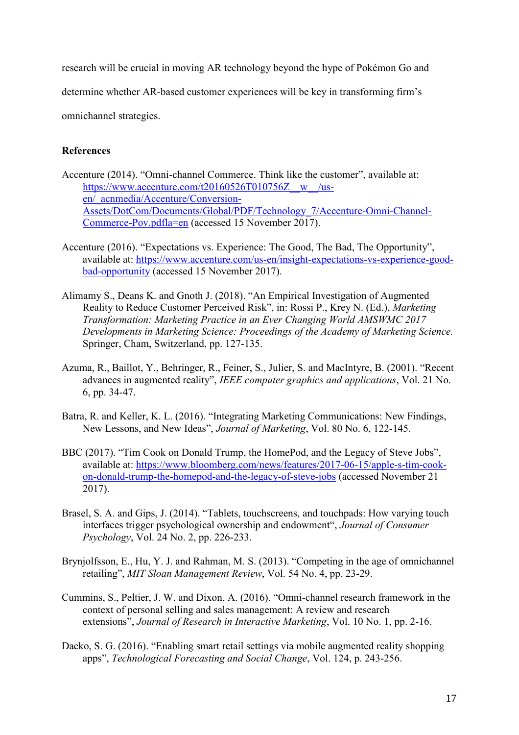research will be crucial in moving AR technology beyond the hype of Pokémon Go and

determine whether AR-based customer experiences will be key in transforming firm's

omnichannel strategies.

## **References**

- Accenture (2014). "Omni-channel Commerce. Think like the customer", available at: [https://www.accenture.com/t20160526T010756Z\\_\\_w\\_\\_/us](https://www.accenture.com/t20160526T010756Z__w__/us-en/_acnmedia/Accenture/Conversion-Assets/DotCom/Documents/Global/PDF/Technology_7/Accenture-Omni-Channel-Commerce-Pov.pdfla=en)[en/\\_acnmedia/Accenture/Conversion-](https://www.accenture.com/t20160526T010756Z__w__/us-en/_acnmedia/Accenture/Conversion-Assets/DotCom/Documents/Global/PDF/Technology_7/Accenture-Omni-Channel-Commerce-Pov.pdfla=en)[Assets/DotCom/Documents/Global/PDF/Technology\\_7/Accenture-Omni-Channel-](https://www.accenture.com/t20160526T010756Z__w__/us-en/_acnmedia/Accenture/Conversion-Assets/DotCom/Documents/Global/PDF/Technology_7/Accenture-Omni-Channel-Commerce-Pov.pdfla=en)[Commerce-Pov.pdfla=en](https://www.accenture.com/t20160526T010756Z__w__/us-en/_acnmedia/Accenture/Conversion-Assets/DotCom/Documents/Global/PDF/Technology_7/Accenture-Omni-Channel-Commerce-Pov.pdfla=en) (accessed 15 November 2017).
- Accenture (2016). "Expectations vs. Experience: The Good, The Bad, The Opportunity", available at: [https://www.accenture.com/us-en/insight-expectations-vs-experience-good](https://www.accenture.com/us-en/insight-expectations-vs-experience-good-bad-opportunity)[bad-opportunity](https://www.accenture.com/us-en/insight-expectations-vs-experience-good-bad-opportunity) (accessed 15 November 2017).
- Alimamy S., Deans K. and Gnoth J. (2018). "An Empirical Investigation of Augmented Reality to Reduce Customer Perceived Risk", in: Rossi P., Krey N. (Ed.), *Marketing Transformation: Marketing Practice in an Ever Changing World AMSWMC 2017 Developments in Marketing Science: Proceedings of the Academy of Marketing Science.* Springer, Cham, Switzerland, pp. 127-135.
- Azuma, R., Baillot, Y., Behringer, R., Feiner, S., Julier, S. and MacIntyre, B. (2001). "Recent advances in augmented reality", *IEEE computer graphics and applications*, Vol. 21 No. 6, pp. 34-47.
- Batra, R. and Keller, K. L. (2016). "Integrating Marketing Communications: New Findings, New Lessons, and New Ideas", *Journal of Marketing*, Vol. 80 No. 6, 122-145.
- BBC (2017). "Tim Cook on Donald Trump, the HomePod, and the Legacy of Steve Jobs", available at: [https://www.bloomberg.com/news/features/2017-06-15/apple-s-tim-cook](https://www.bloomberg.com/news/features/2017-06-15/apple-s-tim-cook-on-donald-trump-the-homepod-and-the-legacy-of-steve-jobs)[on-donald-trump-the-homepod-and-the-legacy-of-steve-jobs](https://www.bloomberg.com/news/features/2017-06-15/apple-s-tim-cook-on-donald-trump-the-homepod-and-the-legacy-of-steve-jobs) (accessed November 21 2017).
- Brasel, S. A. and Gips, J. (2014). "Tablets, touchscreens, and touchpads: How varying touch interfaces trigger psychological ownership and endowment", *Journal of Consumer Psychology*, Vol. 24 No. 2, pp. 226-233.
- Brynjolfsson, E., Hu, Y. J. and Rahman, M. S. (2013). "Competing in the age of omnichannel retailing", *MIT Sloan Management Review*, Vol. 54 No. 4, pp. 23-29.
- Cummins, S., Peltier, J. W. and Dixon, A. (2016). "Omni-channel research framework in the context of personal selling and sales management: A review and research extensions", *Journal of Research in Interactive Marketing*, Vol. 10 No. 1, pp. 2-16.
- Dacko, S. G. (2016). "Enabling smart retail settings via mobile augmented reality shopping apps", *Technological Forecasting and Social Change*, Vol. 124, p. 243-256.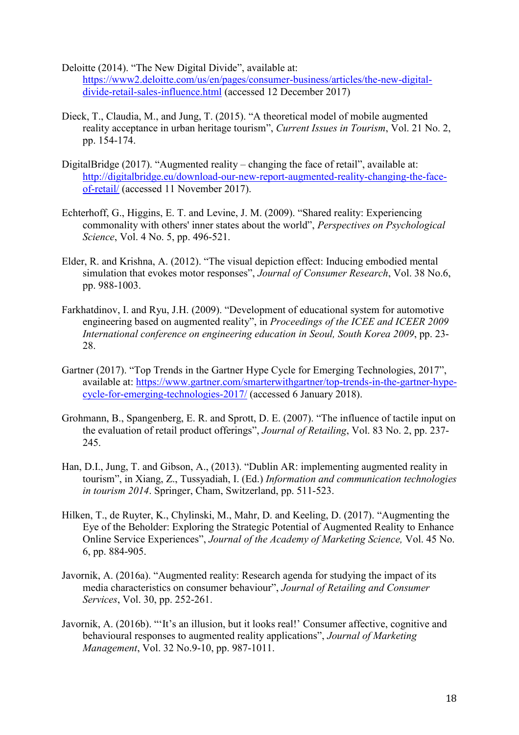- Deloitte (2014). "The New Digital Divide", available at: [https://www2.deloitte.com/us/en/pages/consumer-business/articles/the-new-digital](https://www2.deloitte.com/us/en/pages/consumer-business/articles/the-new-digital-divide-retail-sales-influence.html)[divide-retail-sales-influence.html](https://www2.deloitte.com/us/en/pages/consumer-business/articles/the-new-digital-divide-retail-sales-influence.html) (accessed 12 December 2017)
- Dieck, T., Claudia, M., and Jung, T. (2015). "A theoretical model of mobile augmented reality acceptance in urban heritage tourism", *Current Issues in Tourism*, Vol. 21 No. 2, pp. 154-174.
- DigitalBridge (2017). "Augmented reality changing the face of retail", available at: [http://digitalbridge.eu/download-our-new-report-augmented-reality-changing-the-face](http://digitalbridge.eu/download-our-new-report-augmented-reality-changing-the-face-of-retail/)[of-retail/](http://digitalbridge.eu/download-our-new-report-augmented-reality-changing-the-face-of-retail/) (accessed 11 November 2017).
- Echterhoff, G., Higgins, E. T. and Levine, J. M. (2009). "Shared reality: Experiencing commonality with others' inner states about the world", *Perspectives on Psychological Science*, Vol. 4 No. 5, pp. 496-521.
- Elder, R. and Krishna, A. (2012). "The visual depiction effect: Inducing embodied mental simulation that evokes motor responses", *Journal of Consumer Research*, Vol. 38 No.6, pp. 988-1003.
- Farkhatdinov, I. and Ryu, J.H. (2009). "Development of educational system for automotive engineering based on augmented reality", in *Proceedings of the ICEE and ICEER 2009 International conference on engineering education in Seoul, South Korea 2009*, pp. 23- 28.
- Gartner (2017). "Top Trends in the Gartner Hype Cycle for Emerging Technologies, 2017", available at: [https://www.gartner.com/smarterwithgartner/top-trends-in-the-gartner-hype](https://www.gartner.com/smarterwithgartner/top-trends-in-the-gartner-hype-cycle-for-emerging-technologies-2017/)[cycle-for-emerging-technologies-2017/](https://www.gartner.com/smarterwithgartner/top-trends-in-the-gartner-hype-cycle-for-emerging-technologies-2017/) (accessed 6 January 2018).
- Grohmann, B., Spangenberg, E. R. and Sprott, D. E. (2007). "The influence of tactile input on the evaluation of retail product offerings", *Journal of Retailing*, Vol. 83 No. 2, pp. 237- 245.
- Han, D.I., Jung, T. and Gibson, A., (2013). "Dublin AR: implementing augmented reality in tourism", in Xiang, Z., Tussyadiah, I. (Ed.) *Information and communication technologies in tourism 2014*. Springer, Cham, Switzerland, pp. 511-523.
- Hilken, T., de Ruyter, K., Chylinski, M., Mahr, D. and Keeling, D. (2017). "Augmenting the Eye of the Beholder: Exploring the Strategic Potential of Augmented Reality to Enhance Online Service Experiences", *Journal of the Academy of Marketing Science,* Vol. 45 No. 6, pp. 884-905.
- Javornik, A. (2016a). "Augmented reality: Research agenda for studying the impact of its media characteristics on consumer behaviour", *Journal of Retailing and Consumer Services*, Vol. 30, pp. 252-261.
- Javornik, A. (2016b). "'It's an illusion, but it looks real!' Consumer affective, cognitive and behavioural responses to augmented reality applications", *Journal of Marketing Management*, Vol. 32 No.9-10, pp. 987-1011.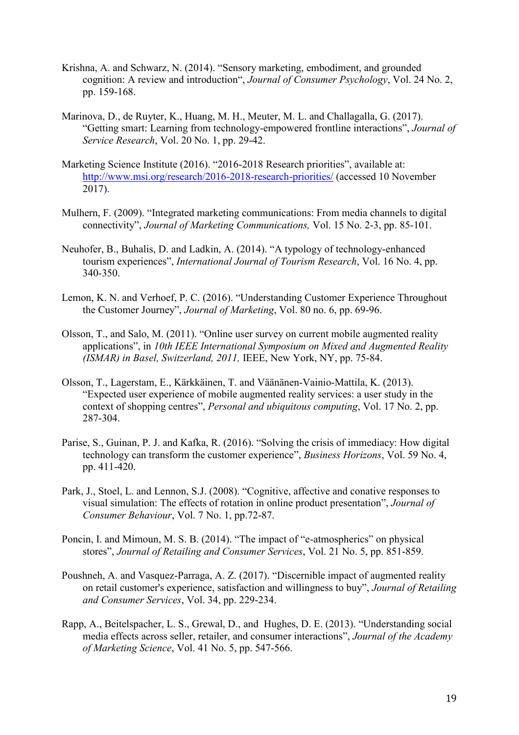- Krishna, A. and Schwarz, N. (2014). "Sensory marketing, embodiment, and grounded cognition: A review and introduction", *Journal of Consumer Psychology*, Vol. 24 No. 2, pp. 159-168.
- Marinova, D., de Ruyter, K., Huang, M. H., Meuter, M. L. and Challagalla, G. (2017). "Getting smart: Learning from technology-empowered frontline interactions", *Journal of Service Research*, Vol. 20 No. 1, pp. 29-42.
- Marketing Science Institute (2016). "2016-2018 Research priorities", available at: <http://www.msi.org/research/2016-2018-research-priorities/> (accessed 10 November 2017).
- Mulhern, F. (2009). "Integrated marketing communications: From media channels to digital connectivity", *Journal of Marketing Communications,* Vol. 15 No. 2-3, pp. 85-101.
- Neuhofer, B., Buhalis, D. and Ladkin, A. (2014). "A typology of technology-enhanced tourism experiences", *International Journal of Tourism Research*, Vol. 16 No. 4, pp. 340-350.
- Lemon, K. N. and Verhoef, P. C. (2016). "Understanding Customer Experience Throughout the Customer Journey", *Journal of Marketing*, Vol. 80 no. 6, pp. 69-96.
- Olsson, T., and Salo, M. (2011). "Online user survey on current mobile augmented reality applications", in *10th IEEE International Symposium on Mixed and Augmented Reality (ISMAR) in Basel, Switzerland, 2011,* IEEE, New York, NY, pp. 75-84.
- Olsson, T., Lagerstam, E., Kärkkäinen, T. and Väänänen-Vainio-Mattila, K. (2013). "Expected user experience of mobile augmented reality services: a user study in the context of shopping centres", *Personal and ubiquitous computing*, Vol. 17 No. 2, pp. 287-304.
- Parise, S., Guinan, P. J. and Kafka, R. (2016). "Solving the crisis of immediacy: How digital technology can transform the customer experience", *Business Horizons*, Vol. 59 No. 4, pp. 411-420.
- Park, J., Stoel, L. and Lennon, S.J. (2008). "Cognitive, affective and conative responses to visual simulation: The effects of rotation in online product presentation", *Journal of Consumer Behaviour*, Vol. 7 No. 1, pp.72-87.
- Poncin, I. and Mimoun, M. S. B. (2014). "The impact of "e-atmospherics" on physical stores", *Journal of Retailing and Consumer Services*, Vol. 21 No. 5, pp. 851-859.
- Poushneh, A. and Vasquez-Parraga, A. Z. (2017). "Discernible impact of augmented reality on retail customer's experience, satisfaction and willingness to buy", *Journal of Retailing and Consumer Services*, Vol. 34, pp. 229-234.
- Rapp, A., Beitelspacher, L. S., Grewal, D., and Hughes, D. E. (2013). "Understanding social media effects across seller, retailer, and consumer interactions", *Journal of the Academy of Marketing Science*, Vol. 41 No. 5, pp. 547-566.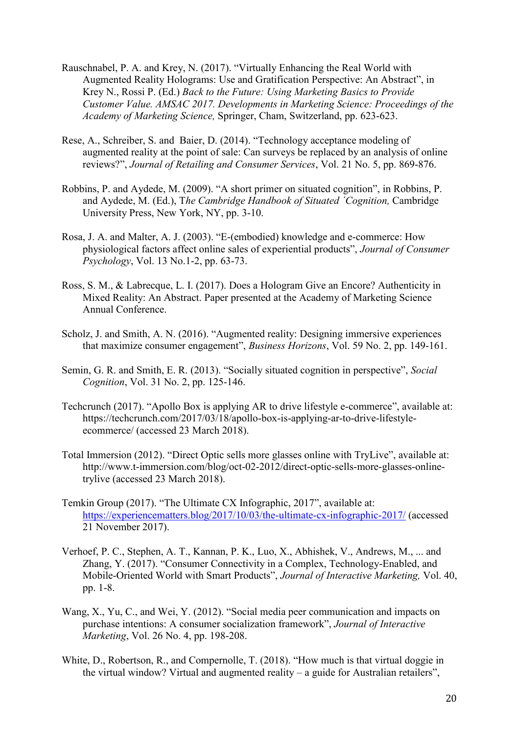- Rauschnabel, P. A. and Krey, N. (2017). "Virtually Enhancing the Real World with Augmented Reality Holograms: Use and Gratification Perspective: An Abstract", in Krey N., Rossi P. (Ed.) *Back to the Future: Using Marketing Basics to Provide Customer Value. AMSAC 2017. Developments in Marketing Science: Proceedings of the Academy of Marketing Science,* Springer, Cham, Switzerland, pp. 623-623.
- Rese, A., Schreiber, S. and Baier, D. (2014). "Technology acceptance modeling of augmented reality at the point of sale: Can surveys be replaced by an analysis of online reviews?", *Journal of Retailing and Consumer Services*, Vol. 21 No. 5, pp. 869-876.
- Robbins, P. and Aydede, M. (2009). "A short primer on situated cognition", in Robbins, P. and Aydede, M. (Ed.), T*he Cambridge Handbook of Situated ´Cognition,* Cambridge University Press, New York, NY, pp. 3-10.
- Rosa, J. A. and Malter, A. J. (2003). "E-(embodied) knowledge and e-commerce: How physiological factors affect online sales of experiential products", *Journal of Consumer Psychology*, Vol. 13 No.1-2, pp. 63-73.
- Ross, S. M., & Labrecque, L. I. (2017). Does a Hologram Give an Encore? Authenticity in Mixed Reality: An Abstract. Paper presented at the Academy of Marketing Science Annual Conference.
- Scholz, J. and Smith, A. N. (2016). "Augmented reality: Designing immersive experiences that maximize consumer engagement", *Business Horizons*, Vol. 59 No. 2, pp. 149-161.
- Semin, G. R. and Smith, E. R. (2013). "Socially situated cognition in perspective", *Social Cognition*, Vol. 31 No. 2, pp. 125-146.
- Techcrunch (2017). "Apollo Box is applying AR to drive lifestyle e-commerce", available at: https://techcrunch.com/2017/03/18/apollo-box-is-applying-ar-to-drive-lifestyleecommerce/ (accessed 23 March 2018).
- Total Immersion (2012). "Direct Optic sells more glasses online with TryLive", available at: http://www.t-immersion.com/blog/oct-02-2012/direct-optic-sells-more-glasses-onlinetrylive (accessed 23 March 2018).
- Temkin Group (2017). "The Ultimate CX Infographic, 2017", available at: <https://experiencematters.blog/2017/10/03/the-ultimate-cx-infographic-2017/> (accessed 21 November 2017).
- Verhoef, P. C., Stephen, A. T., Kannan, P. K., Luo, X., Abhishek, V., Andrews, M., ... and Zhang, Y. (2017). "Consumer Connectivity in a Complex, Technology-Enabled, and Mobile-Oriented World with Smart Products", *Journal of Interactive Marketing,* Vol. 40, pp. 1-8.
- Wang, X., Yu, C., and Wei, Y. (2012). "Social media peer communication and impacts on purchase intentions: A consumer socialization framework", *Journal of Interactive Marketing*, Vol. 26 No. 4, pp. 198-208.
- White, D., Robertson, R., and Compernolle, T. (2018). "How much is that virtual doggie in the virtual window? Virtual and augmented reality – a guide for Australian retailers",